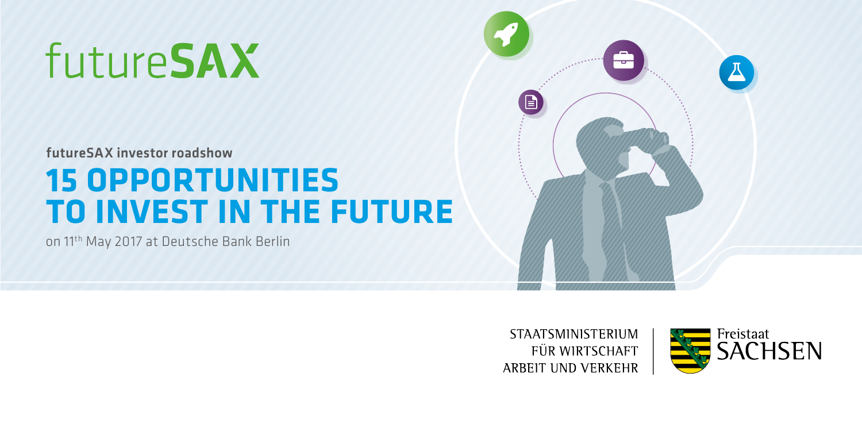# futureSAX

futureSAX investor roadshow

## **15 OPPORTUNITIES TO INVEST IN THE FUTURE**

on 11th May 2017 at Deutsche Bank Berlin



**STAATSMINISTERIUM** FÜR WIRTSCHAFT ARBEIT UND VERKEHR

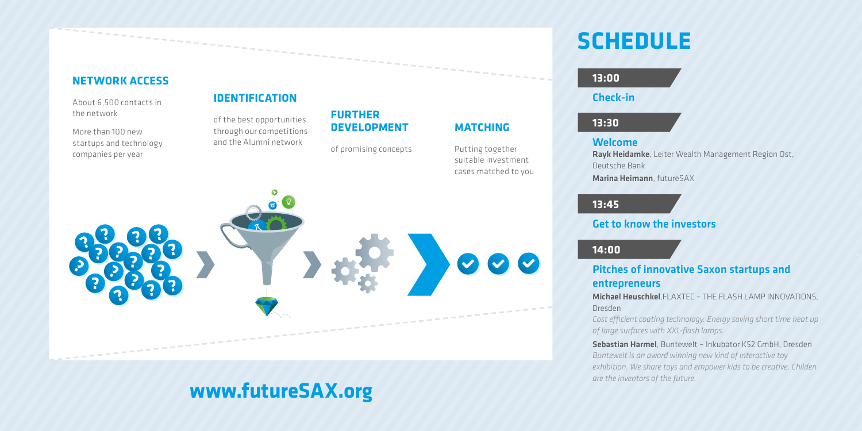#### **NETWORK ACCESS**

About 6,500 contacts in the network

More than 100 new startups and technology companies per year

## **IDENTIFICATION**

of the best opportunities through our competitions and the Alumni network

## **FURTHER DEVELOPMENT**

of promising concepts

**MATCHING** Putting together suitable investment



## **www.futureSAX.org**

## **SCHEDULE**

#### **13:00**

Check-in

## **13:30**

#### Welcome

Rayk Heidamke, Leiter Wealth Management Region Ost, Deutsche Bank

Marina Heimann, futureSAX

## **13:45**

## Get to know the investors

## **14:00**

## Pitches of innovative Saxon startups and entrepreneurs

Michael Heuschkel ELAXTEC – THE FLASH LAMP INNOVATIONS Dresden

*Cost efcient coating technology. Energy saving short time heat up of large surfaces with XXL-flash lamps.*

Sebastian Harmel, Buntewelt – Inkubator K52 GmbH, Dresden *Buntewelt is an award winning new kind of interactive toy exhibition. We share toys and empower kids to be creative. Childen are the inventors of the future.*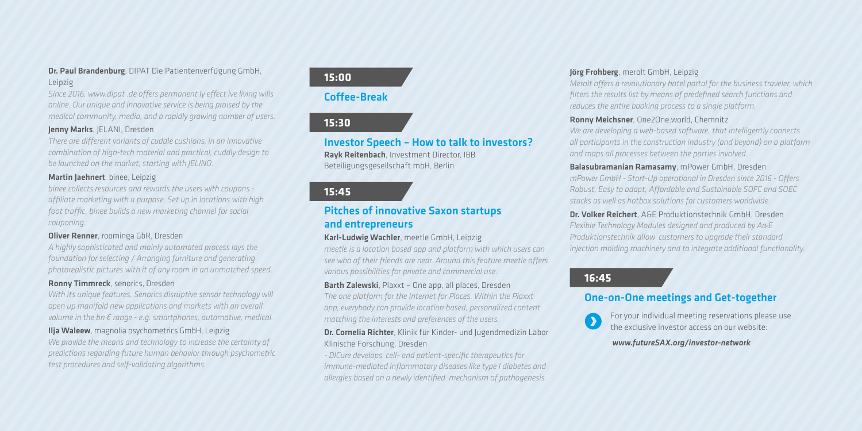#### Dr. Paul Brandenburg, DIPAT Die Patientenverfügung GmbH, Leipzig

*Since 2016, www.dipat .de ofers permanent ly efect ive living wills online. Our unique and innovative service is being praised by the medical community, media, and a ranidly growing number of users.* 

#### Jenny Marks, JELANI, Dresden

*There are diferent variants of cuddle cushions, in an innovative combination of high-tech material and practical, cuddly design to be launched on the market, starting with JELINO.*

#### Martin Jaehnert, binee, Leipzig

*binee collects resources and rewards the users with coupons afliate marketing with a purpose. Set up in locations with high foot trafc, binee builds a new marketing channel for social couponing.*

#### Oliver Renner, roominga GbR, Dresden

*A highly sophisticated and mainly automated process lays the foundation for selecting / Arranging furniture and generating photorealistic pictures with it of any room in an unmatched speed.*

#### Ronny Timmreck, senorics, Dresden

*With its unique features, Senorics disruptive sensor technology will open up manifold new applications and markets with an overall volume in the bn € range - e.g. smartphones, automotive, medical.*

#### Ilja Waleew, magnolia psychometrics GmbH, Leipzig

*We provide the means and technology to increase the certainty of predictions regarding future human behavior through psychometric test procedures and self-validating algorithms.*

## **15:00**

## Coffee-Break

## **15:30**

#### Investor Speech – How to talk to investors? Rayk Reitenbach, Investment Director, IBB Beteiligungsgesellschaft mbH, Berlin

## **15:45**

### Pitches of innovative Saxon startups and entrepreneurs

#### Karl-Ludwig Wachler, meetle GmbH, Leipzig

*meetle is a location based app and platform with which users can see who of their friends are near. Around this feature meetle ofers various possibilities for private and commercial use.*

#### Barth Zalewski, Plaxxt – One ann, all places, Dresden

*The one platform for the Internet for Places. Within the Plaxxt app, everybody can provide location based, personalized content matching the interests and preferences of the users.*

#### Dr. Cornelia Richter, Klinik für Kinder- und Jugendmedizin Labor Klinische Forschung, Dresden

*- DICure develops cell- and patient-specific therapeutics for immune-mediated inflammatory diseases like type I diabetes and allergies based on a newly identified mechanism of pathogenesis.*

#### Jörg Frohberg, merolt GmbH, Leipzig

*Merolt ofers a revolutionary hotel portal for the business traveler, which filters the results list by means of predefined search functions and reduces the entire booking process to a single platform.*

#### Ronny Meichsner, One2One.world, Chemnitz

*We are developing a web-based software, that intelligently connects all participants in the construction industry (and beyond) on a platform and maps all processes between the parties involved.*

#### Balasubramanian Ramasamy, mPower GmbH, Dresden

*mPower GmbH - Start-Up operational in Dresden since 2016 - Ofers Robust, Easy to adapt, Afordable and Sustainable SOFC and SOEC stacks as well as hotbox solutions for customers worldwide.*

Dr. Volker Reichert, A&E Produktionstechnik GmbH, Dresden *Flexible Technology Modules designed and produced by A&E Produktionstechnik allow customers to upgrade their standard injection molding machinery and to integrate additional functionality.*

## **16:45**

## One-on-One meetings and Get-together

For your individual meeting reservations please use  $\mathbf{\Omega}$ the exclusive investor access on our website:

#### *www.futureSAX.org/investor-network*